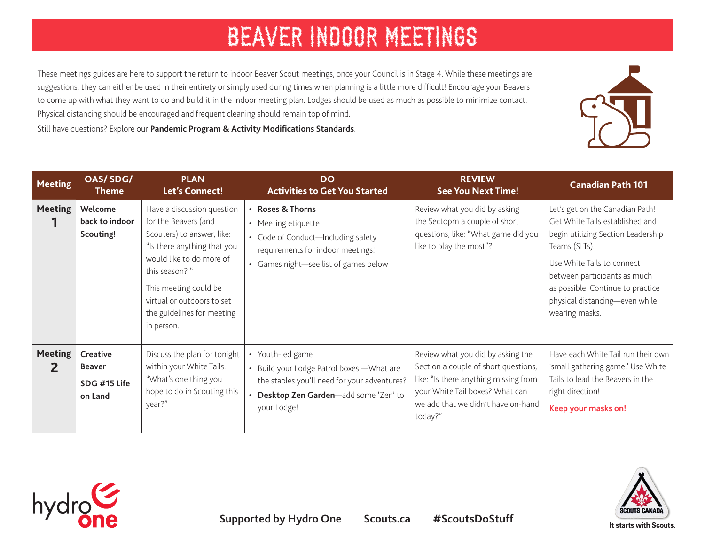These meetings guides are here to support the return to indoor Beaver Scout meetings, once your Council is in Stage 4. While these meetings are suggestions, they can either be used in their entirety or simply used during times when planning is a little more difficult! Encourage your Beavers to come up with what they want to do and build it in the indoor meeting plan. Lodges should be used as much as possible to minimize contact. Physical distancing should be encouraged and frequent cleaning should remain top of mind.

Still have questions? Explore our **[Pandemic Program & Activity Modifications Standards](https://www.scouts.ca/resources/bpp/policies/pandemic-program-and-activity-modifications-stage-4.html)**.

| <b>Meeting</b>      | OAS/SDG/<br>Theme                                    | <b>PLAN</b><br>Let's Connect!                                                                                                                                                                                                                                    | <b>DO</b><br><b>Activities to Get You Started</b>                                                                                                                    | <b>REVIEW</b><br><b>See You Next Time!</b>                                                                                                                                                             | <b>Canadian Path 101</b>                                                                                                                                                                                                                                                         |
|---------------------|------------------------------------------------------|------------------------------------------------------------------------------------------------------------------------------------------------------------------------------------------------------------------------------------------------------------------|----------------------------------------------------------------------------------------------------------------------------------------------------------------------|--------------------------------------------------------------------------------------------------------------------------------------------------------------------------------------------------------|----------------------------------------------------------------------------------------------------------------------------------------------------------------------------------------------------------------------------------------------------------------------------------|
| <b>Meeting</b>      | Welcome<br>back to indoor<br>Scouting!               | Have a discussion question<br>for the Beavers (and<br>Scouters) to answer, like:<br>"Is there anything that you<br>would like to do more of<br>this season? "<br>This meeting could be<br>virtual or outdoors to set<br>the guidelines for meeting<br>in person. | <b>Roses &amp; Thorns</b><br>• Meeting etiquette<br>• Code of Conduct-Including safety<br>requirements for indoor meetings!<br>• Games night-see list of games below | Review what you did by asking<br>the Sectopm a couple of short<br>questions, like: "What game did you<br>like to play the most"?                                                                       | Let's get on the Canadian Path!<br>Get White Tails established and<br>begin utilizing Section Leadership<br>Teams (SLTs).<br>Use White Tails to connect<br>between participants as much<br>as possible. Continue to practice<br>physical distancing-even while<br>wearing masks. |
| <b>Meeting</b><br>2 | Creative<br><b>Beaver</b><br>SDG #15 Life<br>on Land | Discuss the plan for tonight<br>within your White Tails.<br>"What's one thing you<br>hope to do in Scouting this<br>year?"                                                                                                                                       | Youth-led game<br>• Build your Lodge Patrol boxes!-What are<br>the staples you'll need for your adventures?<br>Desktop Zen Garden-add some 'Zen' to<br>your Lodge!   | Review what you did by asking the<br>Section a couple of short questions,<br>like: "Is there anything missing from<br>your White Tail boxes? What can<br>we add that we didn't have on-hand<br>today?" | Have each White Tail run their own<br>'small gathering game.' Use White<br>Tails to lead the Beavers in the<br>right direction!<br>Keep your masks on!                                                                                                                           |





It starts with Scouts.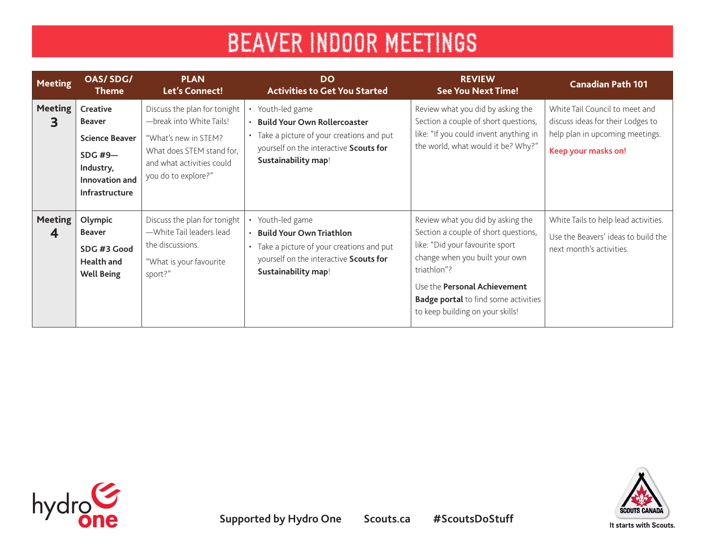| <b>Meeting</b>      | <b>OAS/SDG/</b><br><b>Theme</b>                                                                                              | <b>PLAN</b><br>Let's Connect!                                                                                                                                     | <b>DO</b><br><b>Activities to Get You Started</b>                                                                                                                      | <b>REVIEW</b><br><b>See You Next Time!</b>                                                                                                                                                                                                                                       | <b>Canadian Path 101</b>                                                                                                      |
|---------------------|------------------------------------------------------------------------------------------------------------------------------|-------------------------------------------------------------------------------------------------------------------------------------------------------------------|------------------------------------------------------------------------------------------------------------------------------------------------------------------------|----------------------------------------------------------------------------------------------------------------------------------------------------------------------------------------------------------------------------------------------------------------------------------|-------------------------------------------------------------------------------------------------------------------------------|
| <b>Meeting</b><br>З | Creative<br><b>Beaver</b><br><b>Science Beaver</b><br><b>SDG #9-</b><br>Industry,<br>Innovation and<br><b>Infrastructure</b> | Discuss the plan for tonight<br>-break into White Tails!<br>"What's new in STEM?<br>What does STEM stand for,<br>and what activities could<br>you do to explore?" | • Youth-led game<br><b>Build Your Own Rollercoaster</b><br>• Take a picture of your creations and put<br>yourself on the interactive Scouts for<br>Sustainability map! | Review what you did by asking the<br>Section a couple of short questions,<br>like: "If you could invent anything in<br>the world, what would it be? Why?"                                                                                                                        | White Tail Council to meet and<br>discuss ideas for their Lodges to<br>help plan in upcoming meetings.<br>Keep your masks on! |
| <b>Meeting</b><br>4 | Olympic<br><b>Beaver</b><br>SDG #3 Good<br>Health and<br><b>Well Being</b>                                                   | Discuss the plan for tonight<br>-White Tail leaders lead<br>the discussions.<br>"What is your favourite<br>sport?"                                                | Youth-led game<br><b>Build Your Own Triathlon</b><br>Take a picture of your creations and put<br>yourself on the interactive Scouts for<br>Sustainability map!         | Review what you did by asking the<br>Section a couple of short questions,<br>like: "Did your favourite sport<br>change when you built your own<br>triathlon"?<br>Use the Personal Achievement<br><b>Badge portal</b> to find some activities<br>to keep building on your skills! | White Tails to help lead activities.<br>Use the Beavers' ideas to build the<br>next month's activities.                       |

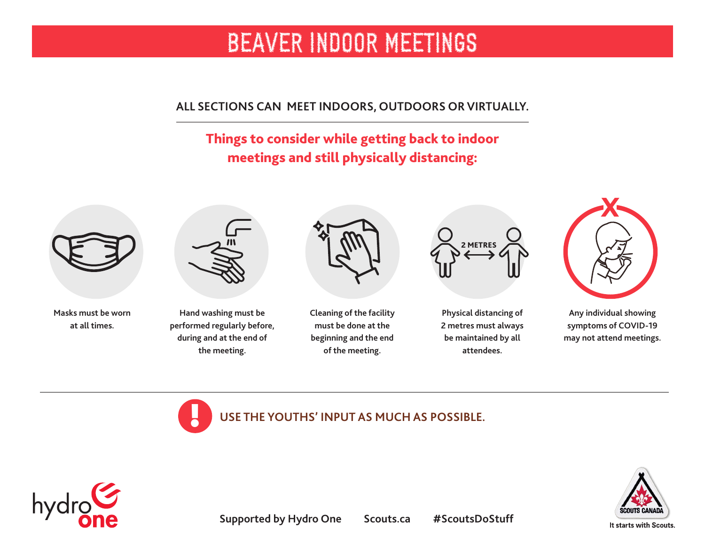### **ALL SECTIONS CAN MEET INDOORS, OUTDOORS OR VIRTUALLY.**

## Things to consider while getting back to indoor meetings and still physically distancing:



**Masks must be worn at all times.** 



**Hand washing must be performed regularly before, during and at the end of the meeting.** 



**Cleaning of the facility must be done at the beginning and the end of the meeting.** 



**Physical distancing of 2 metres must always be maintained by all attendees.** 



**Any individual showing symptoms of COVID-19 may not attend meetings.**





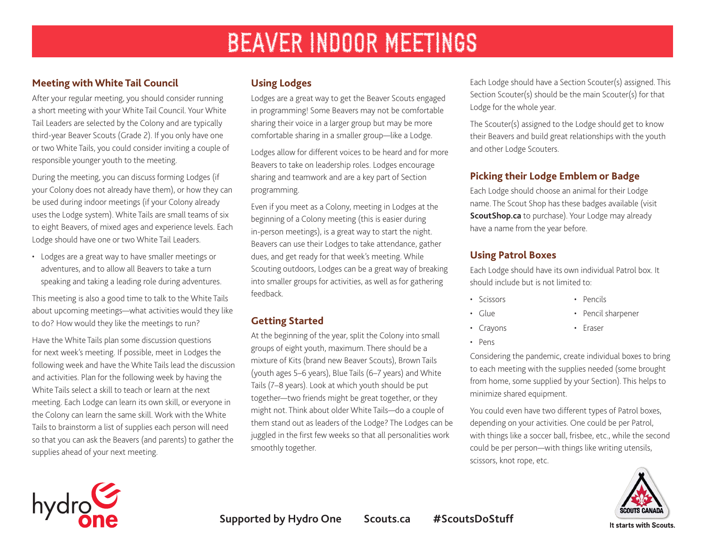### **Meeting with White Tail Council**

After your regular meeting, you should consider running a short meeting with your White Tail Council. Your White Tail Leaders are selected by the Colony and are typically third-year Beaver Scouts (Grade 2). If you only have one or two White Tails, you could consider inviting a couple of responsible younger youth to the meeting.

During the meeting, you can discuss forming Lodges (if your Colony does not already have them), or how they can be used during indoor meetings (if your Colony already uses the Lodge system). White Tails are small teams of six to eight Beavers, of mixed ages and experience levels. Each Lodge should have one or two White Tail Leaders.

• Lodges are a great way to have smaller meetings or adventures, and to allow all Beavers to take a turn speaking and taking a leading role during adventures.

This meeting is also a good time to talk to the White Tails about upcoming meetings—what activities would they like to do? How would they like the meetings to run?

Have the White Tails plan some discussion questions for next week's meeting. If possible, meet in Lodges the following week and have the White Tails lead the discussion and activities. Plan for the following week by having the White Tails select a skill to teach or learn at the next meeting. Each Lodge can learn its own skill, or everyone in the Colony can learn the same skill. Work with the White Tails to brainstorm a list of supplies each person will need so that you can ask the Beavers (and parents) to gather the supplies ahead of your next meeting.

### **Using Lodges**

Lodges are a great way to get the Beaver Scouts engaged in programming! Some Beavers may not be comfortable sharing their voice in a larger group but may be more comfortable sharing in a smaller group—like a Lodge.

Lodges allow for different voices to be heard and for more Beavers to take on leadership roles. Lodges encourage sharing and teamwork and are a key part of Section programming.

Even if you meet as a Colony, meeting in Lodges at the beginning of a Colony meeting (this is easier during in-person meetings), is a great way to start the night. Beavers can use their Lodges to take attendance, gather dues, and get ready for that week's meeting. While Scouting outdoors, Lodges can be a great way of breaking into smaller groups for activities, as well as for gathering feedback.

### **Getting Started**

At the beginning of the year, split the Colony into small groups of eight youth, maximum. There should be a mixture of Kits (brand new Beaver Scouts), Brown Tails (youth ages 5–6 years), Blue Tails (6–7 years) and White Tails (7–8 years). Look at which youth should be put together—two friends might be great together, or they might not. Think about older White Tails—do a couple of them stand out as leaders of the Lodge? The Lodges can be juggled in the first few weeks so that all personalities work smoothly together.

Each Lodge should have a Section Scouter(s) assigned. This Section Scouter(s) should be the main Scouter(s) for that Lodge for the whole year.

The Scouter(s) assigned to the Lodge should get to know their Beavers and build great relationships with the youth and other Lodge Scouters.

### **Picking their Lodge Emblem or Badge**

Each Lodge should choose an animal for their Lodge name. The Scout Shop has these badges available (visit **[ScoutShop.ca](http://ScoutShop.ca)** to purchase). Your Lodge may already have a name from the year before.

#### **Using Patrol Boxes**

Each Lodge should have its own individual Patrol box. It should include but is not limited to:

- Scissors
- Glue

• Pencil sharpener

• Pencils

• Eraser

- Crayons
- 
- Pens

Considering the pandemic, create individual boxes to bring to each meeting with the supplies needed (some brought from home, some supplied by your Section). This helps to minimize shared equipment.

You could even have two different types of Patrol boxes, depending on your activities. One could be per Patrol, with things like a soccer ball, frisbee, etc., while the second could be per person—with things like writing utensils, scissors, knot rope, etc.





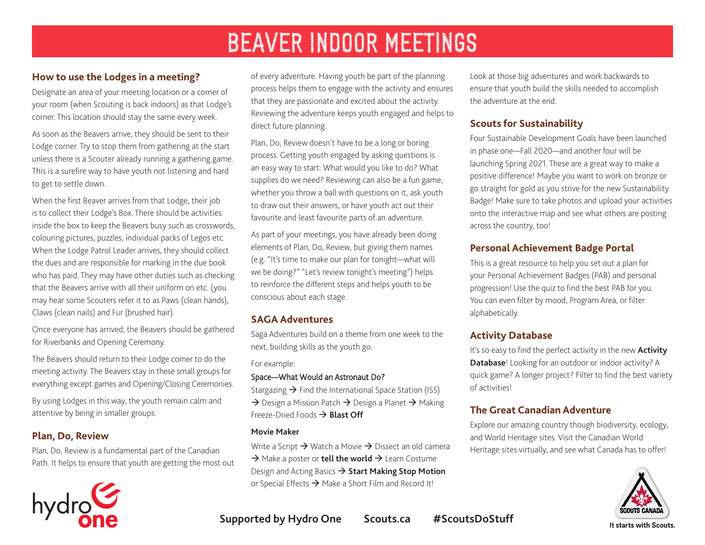#### **How to use the Lodges in a meeting?**

Designate an area of your meeting location or a corner of your room (when Scouting is back indoors) as that Lodge's corner. This location should stay the same every week.

As soon as the Beavers arrive, they should be sent to their Lodge corner. Try to stop them from gathering at the start unless there is a Scouter already running a gathering game. This is a surefire way to have youth not listening and hard to get to settle down.

When the first Beaver arrives from that Lodge, their job is to collect their Lodge's Box. There should be activities inside the box to keep the Beavers busy such as crosswords, colouring pictures, puzzles, individual packs of Legos etc. When the Lodge Patrol Leader arrives, they should collect the dues and are responsible for marking in the due book who has paid. They may have other duties such as checking that the Beavers arrive with all their uniform on etc. (you may hear some Scouters refer it to as Paws (clean hands), Claws (clean nails) and Fur (brushed hair).

Once everyone has arrived, the Beavers should be gathered for Riverbanks and Opening Ceremony.

The Beavers should return to their Lodge corner to do the meeting activity. The Beavers stay in these small groups for everything except games and Opening/Closing Ceremonies.

By using Lodges in this way, the youth remain calm and attentive by being in smaller groups.

#### **Plan, Do, Review**

Plan, Do, Review is a fundamental part of the Canadian Path. It helps to ensure that youth are getting the most out



of every adventure. Having youth be part of the planning process helps them to engage with the activity and ensures that they are passionate and excited about the activity. Reviewing the adventure keeps youth engaged and helps to direct future planning.

Plan, Do, Review doesn't have to be a long or boring process. Getting youth engaged by asking questions is an easy way to start: What would you like to do? What supplies do we need? Reviewing can also be a fun game, whether you throw a ball with questions on it, ask youth to draw out their answers, or have youth act out their favourite and least favourite parts of an adventure.

As part of your meetings, you have already been doing elements of Plan, Do, Review, but giving them names (e.g. "It's time to make our plan for tonight—what will we be doing?" "Let's review tonight's meeting") helps to reinforce the different steps and helps youth to be conscious about each stage.

#### **SAGA Adventures**

Saga Adventures build on a theme from one week to the next, building skills as the youth go.

For example:

#### Space [—What Would an Astronaut Do?](https://www.scouts.ca/scoutinglife/2020/04/what-would-an-astronaut-do/?scrolled=true)

Stargazing  $\rightarrow$  Find the International Space Station (ISS)  $\rightarrow$  Design a Mission Patch  $\rightarrow$  Design a Planet  $\rightarrow$  Making Freeze-Dried Foods  $\rightarrow$  **[Blast Off](https://www.scouts.ca/activity-finder/blast-off.html)** 

#### **Movie Maker**

Write a Script  $\rightarrow$  Watch a Movie  $\rightarrow$  Dissect an old camera  $\rightarrow$  Make a poster or **[tell the world](https://www.scouts.ca/activity-finder/tell-the-world.html)**  $\rightarrow$  Learn Costume Design and Acting Basics à **[Start Making Stop Motion](https://www.scouts.ca/activity-finder/start-making-stop-motion.html)** or Special Effects  $\rightarrow$  Make a Short Film and Record It!

Look at those big adventures and work backwards to ensure that youth build the skills needed to accomplish the adventure at the end.

### **[Scouts for Sustainability](https://www.scouts.ca/programs/scouts-for-sustainability/overview.html)**

Four Sustainable Development Goals have been launched in phase one—Fall 2020—and another four will be launching Spring 2021. These are a great way to make a positive difference! Maybe you want to work on bronze or go straight for gold as you strive for the new Sustainability Badge! Make sure to take photos and upload your activities onto the interactive map and see what others are posting across the country, too!

### **[Personal Achievement Badge Portal](https://www.scouts.ca/programs/canadian-path/personal-achievement-badges/overview.html)**

This is a great resource to help you set out a plan for your Personal Achievement Badges (PAB) and personal progression! Use the quiz to find the best PAB for you. You can even filter by mood, Program Area, or filter alphabetically.

### **Activity Database**

It's so easy to find the perfect activity in the new **[Activity](https://www.scouts.ca/activity-finder)  [Database](https://www.scouts.ca/activity-finder)**! Looking for an outdoor or indoor activity? A quick game? A longer project? Filter to find the best variety of activities!

### **The Great Canadian Adventure**

Explore our amazing country though biodiversity, ecology, and World Heritage sites. Visit the Canadian World Heritage sites virtually, and see what Canada has to offer!



**Supported by Hydro One Scouts.ca #ScoutsDoStuff**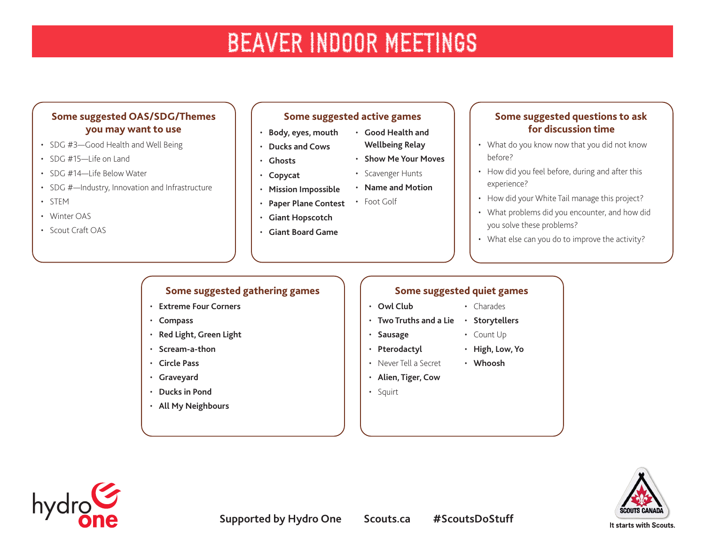#### **Some suggested OAS/SDG/Themes you may want to use**

- SDG #3—Good Health and Well Being
- $\cdot$  SDG #15-life on Land
- SDG #14—Life Below Water
- SDG #-Industry, Innovation and Infrastructure
- STEM
- Winter OAS
- Scout Craft OAS

#### **Some suggested active games**

• **[Good Health and](https://asphaltgreen.org/blog/rep-game-fitness-relay) [Wellbeing Relay](https://asphaltgreen.org/blog/rep-game-fitness-relay)** • **[Show Me Your Moves](https://asphaltgreen.org/blog/rep-game-show-me-your-moves)**

• Scavenger Hunts • **[Name and Motion](https://asphaltgreen.org/blog/rep-game-name-and-motion/)**

- **[Body, eyes, mouth](http://greatcampgames.ca/active-games/body-eyes-mouth/)**
- **[Ducks and Cows](http://greatcampgames.ca/silly-games/ducks-cows/)**
- **[Ghosts](http://greatcampgames.ca/silly-games/ghosts/)** • **[Copycat](http://greatcampgames.ca/silly-games/copy-cat/)**
- **[Mission Impossible](http://greatcampgames.ca/special-games/mission-impossible/)**
- **[Paper Plane Contest](http://greatcampgames.ca/craft-games/paper-airplane-contest/)** • Foot Golf
- **[Giant Hopscotch](http://greatcampgames.ca/craft-games/giant-hopscotch/)**
- **[Giant Board Game](http://greatcampgames.ca/special-games/giant-board-game/)**

#### **Some suggested questions to ask for discussion time**

- What do you know now that you did not know before?
- How did you feel before, during and after this experience?
- How did your White Tail manage this project?
- What problems did you encounter, and how did you solve these problems?
- What else can you do to improve the activity?

### **Some suggested gathering games**

- **[Extreme Four Corners](http://greatcampgames.ca/wall-to-wall-games/extreme-4-corners/)**
- **[Compass](http://greatcampgames.ca/wall-to-wall-games/compass/)**
- **[Red Light, Green Light](http://greatcampgames.ca/active-games/red-light-green-light/)**
- **[Scream-a-thon](http://greatcampgames.ca/active-games/scream-thon/)**
- **[Circle Pass](http://greatcampgames.ca/active-games/circle-pass/)**
- **[Graveyard](http://greatcampgames.ca/active-games/graveyard/)**
- **[Ducks in Pond](http://greatcampgames.ca/active-games/ducks-in-pond/)**
- **[All My Neighbours](https://www.asphaltgreen.org/blog/rep-game-of-the-month-all-my-neighbors)**

### **Some suggested quiet games**

- **[Owl Club](http://greatcampgames.ca/tricky-games/owl-club/)**
- **[Two Truths and a Lie](http://greatcampgames.ca/circle-games/two-truths-lie/) [Storytellers](https://asphaltgreen.org/blog/rep-game-storytellers/)**
- **[Sausage](http://greatcampgames.ca/silly-games/sausage/)**
- **[Pterodactyl](http://greatcampgames.ca/silly-games/pterodactyl/)**
- Never Tell a Secret • **[Whoosh](https://asphaltgreen.org/blog/rep-game-whoosh/)**
- **[Alien, Tiger, Cow](https://asphaltgreen.org/blog/rep-game-alien-tiger-cow/)**
- Squirt





• Charades

• Count Up • **[High, Low, Yo](https://asphaltgreen.org/blog/rep-game-ah-so-co)**